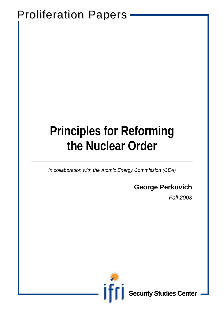## Proliferation Papers

.

# **Principles for Reforming the Nuclear Order**

**\_\_\_\_\_\_\_\_\_\_\_\_\_\_\_\_\_\_\_\_\_\_\_\_\_\_\_\_\_\_\_\_\_\_\_\_\_\_\_\_\_\_\_\_\_\_\_\_\_\_\_\_\_\_\_\_\_\_\_\_\_\_\_\_\_\_\_\_\_\_**

*In collaboration with the Atomic Energy Commission (CEA)* 

**\_\_\_\_\_\_\_\_\_\_\_\_\_\_\_\_\_\_\_\_\_\_\_\_\_\_\_\_\_\_\_\_\_\_\_\_\_\_\_\_\_\_\_\_\_\_\_\_\_\_\_\_\_\_\_\_\_\_\_\_\_\_\_\_\_\_\_\_\_\_** 

### **George Perkovich**

*Fall 2008* 



**Security Studies Center**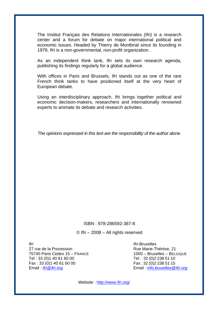The Institut Français des Relations Internationales (Ifri) is a research center and a forum for debate on major international political and economic issues. Headed by Thierry de Montbrial since its founding in 1979, Ifri is a non-governmental, non-profit organization.

As an independent think tank, Ifri sets its own research agenda, publishing its findings regularly for a global audience.

With offices in Paris and Brussels, Ifri stands out as one of the rare French think tanks to have positioned itself at the very heart of European debate.

Using an interdisciplinary approach, Ifri brings together political and economic decision-makers, researchers and internationally renowned experts to animate its debate and research activities.

*The opinions expressed in this text are the responsibility of the author alone.* 

#### ISBN : 978-286592-387-8

© Ifri – 2008 – All rights reserved

Ifri 27 rue de la Procession 75740 Paris Cedex 15 – FRANCE Tel : 33 (0)1 40 61 60 00 Fax : 33 (0)1 40 61 60 00 Email : ifri@ifri.org

Ifri-Bruxelles Rue Marie-Thérèse, 21 1000 – Bruxelles – BELGIQUE Tel : 32 (0)2 238 51 10 Fax : 32 (0)2 238 51 15 Email : info.bruxelles@ifri.org

Website : http://www.ifri.org/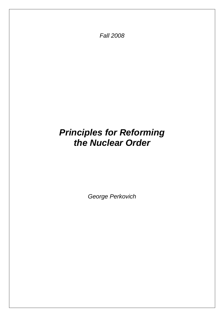*Fall 2008* 

## *Principles for Reforming the Nuclear Order*

*George Perkovich*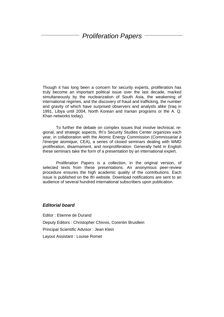### *Proliferation Papers*

Though it has long been a concern for security experts, proliferation has truly become an important political issue over the last decade, marked simultaneously by the nuclearization of South Asia, the weakening of international regimes, and the discovery of fraud and trafficking, the number and gravity of which have surprised observers and analysts alike (Iraq in 1991, Libya until 2004, North Korean and Iranian programs or the A. Q. Khan networks today).

To further the debate on complex issues that involve technical, regional, and strategic aspects, Ifri's Security Studies Center organizes each year, in collaboration with the Atomic Energy Commission (*Commissariat à l'énergie atomique*, CEA), a series of closed seminars dealing with WMD proliferation, disarmament, and nonproliferation. Generally held in English these seminars take the form of a presentation by an international expert.

*Proliferation Papers* is a collection, in the original version, of selected texts from these presentations. An anonymous peer-review procedure ensures the high academic quality of the contributions. Each issue is published on the Ifri website. Download notifications are sent to an audience of several hundred international subscribers upon publication.

#### *Editorial board*

Editor : Etienne de Durand Deputy Editors : Christopher Chivvis, Corentin Brustlein Principal Scientific Advisor : Jean Klein Layout Assistant : Louise Romet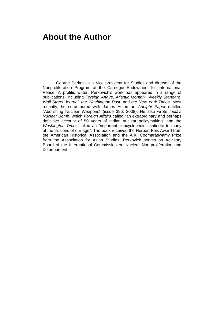George Perkovich is vice president for Studies and director of the Nonproliferation Program at the Carnegie Endowment for International Peace. A prolific writer, Perkovich's work has appeared in a range of publications, including *Foreign Affairs*, *Atlantic Monthly*, *Weekly Standard*, *Wall Street Journal*, *the Washington Post*, and *the New York Times*. Most recently, he co-authored with James Acton an *Adelphi Paper* entitled "Abolishing Nuclear Weapons" (issue 396, 2008). He also wrote *India's Nuclear Bomb*, which *Foreign Affairs* called "an extraordinary and perhaps definitive account of 50 years of Indian nuclear policymaking" and the *Washington Times* called an "important…encyclopedic…antidote to many of the illusions of our age". The book received the Herbert Feis Award from the American Historical Association and the A.K. Coomaraswamy Prize from the Association for Asian Studies. Perkovich serves on Advisory Board of the International Commission on Nuclear Non-proliferation and Disarmament.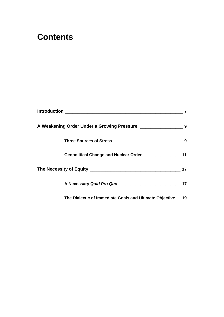### **Contents**

| Geopolitical Change and Nuclear Order _________________       | 11 |
|---------------------------------------------------------------|----|
|                                                               | 17 |
|                                                               | 17 |
| The Dialectic of Immediate Goals and Ultimate Objective __ 19 |    |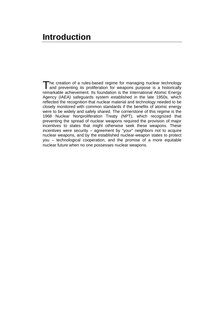### **Introduction**

The creation of a rules-based regime for managing nuclear technology and preventing its proliferation for weapons purpose is a historically and preventing its proliferation for weapons purpose is a historically remarkable achievement. Its foundation is the International Atomic Energy Agency (IAEA) safeguards system established in the late 1950s, which reflected the recognition that nuclear material and technology needed to be closely monitored with common standards if the benefits of atomic energy were to be widely and safely shared. The cornerstone of this regime is the 1968 Nuclear Nonproliferation Treaty (NPT), which recognized that preventing the spread of nuclear weapons required the provision of major incentives to states that might otherwise seek these weapons. These incentives were security – agreement by "your" neighbors not to acquire nuclear weapons, and by the established nuclear-weapon states to protect you – technological cooperation, and the promise of a more equitable nuclear future when no one possesses nuclear weapons.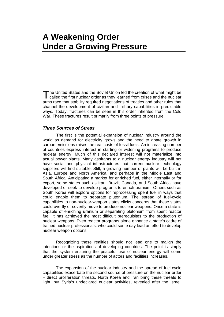### **A Weakening Order Under a Growing Pressure**

The United States and the Soviet Union led the creation of what might be The United States and the Soviet Union led the creation of what might be called the first nuclear order as they learned from crises and the nuclear arms race that stability required negotiations of treaties and other rules that channel the development of civilian and military capabilities in predictable ways. Today, fractures can be seen in this order inherited from the Cold War. These fractures result primarily from three points of pressure.

#### *Three Sources of Stress*

The first is the potential expansion of nuclear industry around the world as demand for electricity grows and the need to abate growth in carbon emissions raises the real costs of fossil fuels. An increasing number of countries express interest in starting or widening programs to produce nuclear energy. Much of this declared interest will not materialize into actual power plants. Many aspirants to a nuclear energy industry will not have social and physical infrastructures that current nuclear technology suppliers will find suitable. Still, a growing number of plants will be built in Asia, Europe and North America, and perhaps in the Middle East and South Africa. Anticipating a market for enriched fuel, either internally or for export, some states such as Iran, Brazil, Canada, and South Africa have developed or seek to develop programs to enrich uranium. Others such as South Korea will explore options for reprocessing spent fuel in ways that could enable them to separate plutonium. The spread of fuel-cycle capabilities to non-nuclear-weapon states elicits concerns that these states could overtly or covertly move to produce nuclear weapons. Once a state is capable of enriching uranium or separating plutonium from spent reactor fuel, it has achieved the most difficult prerequisites to the production of nuclear weapons. Even reactor programs alone enhance a state's cadre of trained nuclear professionals, who could some day lead an effort to develop nuclear weapon options.

Recognizing these realities should not lead one to malign the intentions or the aspirations of developing countries. The point is simply that the system ensuring the peaceful use of nuclear energy will come under greater stress as the number of actors and facilities increases.

The expansion of the nuclear industry and the spread of fuel-cycle capabilities exacerbate the second source of pressure on the nuclear order – direct proliferation threats. North Korea and Iran bring these threats to light, but Syria's undeclared nuclear activities, revealed after the Israeli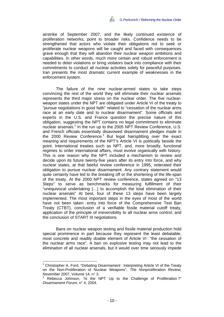airstrike of September 2007, and the likely continued existence of proliferation networks, point to broader risks. Confidence needs to be strengthened that actors who violate their obligations not to seek or proliferate nuclear weapons will be caught and faced with consequences grave enough that they will abandon their nuclear weapon ambitions and capabilities. In other words, much more certain and robust enforcement is needed to deter violations or bring violators back into compliance with their commitments to conduct all nuclear activities solely for peaceful purposes. Iran presents the most dramatic current example of weaknesses in the enforcement system.

The failure of the nine nuclear-armed states to take steps convincing the rest of the world they will eliminate their nuclear arsenals represents the third major stress on the nuclear order. The five nuclearweapon states under the NPT are obligated under Article VI of the treaty to "pursue negotiations in good faith" related to "cessation of the nuclear arms race at an early date and to nuclear disarmament". Some officials and experts in the U.S. and France question the precise nature of this obligation, suggesting the NPT contains no legal commitment to eliminate nuclear arsenals.<sup>1</sup> In the run up to the 2005 NPT Review Conference, U.S. and French officials essentially disavowed disarmament pledges made in the 2000 Review Conference.<sup>2</sup> But legal hairsplitting over the exact meaning and requirements of the NPT's Article VI is politically beside the point. International treaties such as NPT, and, more broadly, functional regimes to order international affairs, must evolve organically with history. This is one reason why the NPT included a mechanism to review and decide upon its future twenty-five years after its entry into force, and why nuclear states, at that fateful review conference in 1995, reiterated their obligation to pursue nuclear disarmament. Any contrary statement would quite certainly have led to the breaking off or the shortening of the life-span of the treaty. At the 2000 NPT review conference, states agreed on "13 Steps" to serve as benchmarks for measuring fulfillment of their "unequivocal undertaking […] to accomplish the total elimination of their nuclear arsenals" At best, four of these 13 steps have been largely implemented. The most important steps in the eyes of most of the world have not been taken : entry into force of the Comprehensive Test Ban Treaty (CTBT), conclusion of a verifiable fissile material cutoff treaty, application of the principle of irreversibility to all nuclear arms control, and the conclusion of START III negotiations.

Bans on nuclear weapon testing and fissile material production hold special prominence in part because they represent the least debatable, most concrete and readily doable element of Article VI : "the cessation of the nuclear arms race". A ban on explosive testing may not lead to the elimination of all nuclear arsenals, but it would over time seriously impede

<sup>&</sup>lt;sup>1</sup> Christopher A. Ford, "Debating Disarmament : Interpreting Article VI of the Treaty on the Non-Proliferation of Nuclear Weapons", *The Nonproliferation Review*, November 2007, Volume 14, n° 3.

<sup>&</sup>lt;sup>2</sup> Rebecca Johnson, "Is the NPT Up to the Challenge of Proliferation?" *Disarmament Forum*, n° 4, 2004.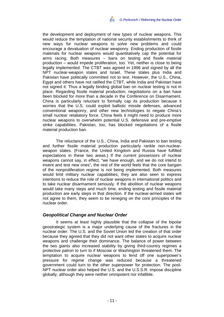the development and deployment of new types of nuclear weapons. This would reduce the temptation of national security establishments to think of new ways for nuclear weapons to solve new problems and could encourage a devaluation of nuclear weaponry. Ending production of fissile materials for nuclear weapons would quantitatively cap the potential for arms racing. Both measures – bans on testing and fissile material production – would impede proliferation, too. Yet, neither is close to being legally implemented. The CTBT was agreed in 1996 and signed by all the NPT nuclear-weapon states and Israel. These states plus India and Pakistan have politically committed not to test. However, the U.S., China, Egypt and others have not ratified the CTBT, while India and Pakistan have not signed it. Thus a legally binding global ban on nuclear testing is not in place. Regarding fissile material production, negotiations on a ban have been blocked for more than a decade in the Conference on Disarmament. China is particularly reluctant to formally cap its production because it worries that the U.S. could exploit ballistic missile defenses, advanced conventional weaponry, and other new technologies to negate China's small nuclear retaliatory force. China feels it might need to produce more nuclear weapons to overwhelm potential U.S. defensive and pre-emptive strike capabilities. Pakistan, too, has blocked negotiations of a fissile material production ban.

The reluctance of the U.S., China, India and Pakistan to ban testing and further fissile material production particularly rankle non-nuclearweapon states. (France, the United Kingdom and Russia have fulfilled expectations in these two areas.) If the current possessors of nuclear weapons cannot say, in effect, "we have enough, and we do not intend to invent and test new ones", the rest of the world feels that the core bargain of the nonproliferation regime is not being implemented. Both measures would limit military nuclear capabilities; they are also seen to express intentions to reduce the role of nuclear weapons in international politics and to take nuclear disarmament seriously. If the abolition of nuclear weapons would take many steps and much time, ending testing and fissile material production are early steps in that direction. If the nuclear-armed states will not agree to them, they seem to be reneging on the core principles of the nuclear order.

#### *Geopolitical Change and Nuclear Order*

It seems at least highly plausible that the collapse of the bipolar geostrategic system is a major underlying cause of the fractures in the nuclear order. The U.S. and the Soviet Union led the creation of that order because they agreed that they did not want other states to acquire nuclear weapons and challenge their dominance. The balance of power between the two giants also increased stability by giving third-country regimes a protective patron to turn to if Moscow or Washington threatened them. The temptation to acquire nuclear weapons to fend off one superpower's pressure for regime change was reduced because a threatened government could turn to the other superpower for protection. The post-NPT nuclear order also helped the U.S. and the U.S.S.R. impose discipline globally, although they were neither omnipotent nor infallible.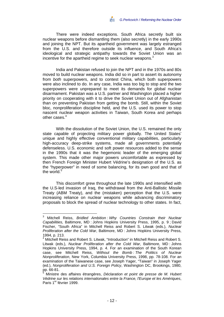There were indeed exceptions. South Africa secretly built six nuclear weapons before dismantling them (also secretly) in the early 1990s and joining the NPT. But its apartheid government was largely estranged from the U.S. and therefore outside its influence, and South Africa's ideological and strategic antipathy towards the Soviet Union was an incentive for the apartheid regime to seek nuclear weapons.<sup>3</sup>

India and Pakistan refused to join the NPT and in the 1970s and 80s moved to build nuclear weapons. India did so in part to assert its autonomy from *both* superpowers, and to contest China, which both superpowers were also inclined to do. In any case, India was too big to stop and the two superpowers were unprepared to meet its demands for global nuclear disarmament. Pakistan was a U.S. partner and Washington placed a higher priority on cooperating with it to drive the Soviet Union out of Afghanistan than on preventing Pakistan from getting the bomb. Still, within the Soviet bloc, nonproliferation discipline held, and the U.S. used its power to stop nascent nuclear weapon activities in Taiwan, South Korea and perhaps other cases.<sup>4</sup>

With the dissolution of the Soviet Union, the U.S. remained the only state capable of projecting military power globally. The United States' unique and highly effective conventional military capabilities, particularly high-accuracy deep-strike systems, made all governments potentially defenseless. U.S. economic and soft power resources added to the sense in the 1990s that it was the hegemonic leader of the emerging global system. This made other major powers uncomfortable as expressed by then French Foreign Minister Hubert Védrine's designation of the U.S. as the "hyperpower" in need of some balancing, for its own good and that of the world.<sup>5</sup>

This discomfort grew throughout the late 1990s and intensified with the U.S-led invasion of Iraq, the withdrawal from the Anti-Ballistic Missile Treaty (ABM Treaty), and the (mistaken) perception that the U.S. were increasing reliance on nuclear weapons while advancing discriminatory proposals to block the spread of nuclear technology to other states. In fact,

 3 Mitchell Reiss, *Bridled Ambition : Why Countries Constrain their Nuclear Capabilities,* Baltimore, MD : Johns Hopkins University Press, 1995, p. 9 ; David Fischer, "South Africa" in Mitchell Reiss and Robert S. Litwak (eds.), *Nuclear Proliferation after the Cold War*, Baltimore, MD : Johns Hopkins University Press, 1994, p. 213. <sup>4</sup>

<sup>&</sup>lt;sup>4</sup> Mitchell Reiss and Robert S. Litwak, "Introduction" in Mitchell Reiss and Robert S. Litwak (eds.), *Nuclear Proliferation after the Cold War*, Baltimore, MD : Johns Hopkins University Press, 1994, p. 4. For an examination of the South Korean case, see Mitchell Reiss, *Without the Bomb : The Politics of Nuclear Nonproliferation*, New York, Columbia University Press, 1998, pp. 78-108. For an examination of the Taiwanese case, see Joseph Yager, "Taiwan" in Joseph Yager (ed.), *Nonproliferation and U.S. Foreign Policy*, Washington DC, Brookings, 1980, pp. 66-81.<br><sup>5</sup>. Minietre

Ministre des affaires étrangères, *Déclaration et point de presse de M. Hubert Védrine sur les relations internationales entre la France, l'Europe et les Amériques*, Paris 1<sup>er</sup> février 1999.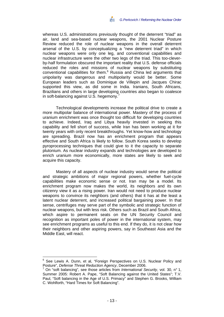whereas U.S. administrations previously thought of the deterrent "triad" as air, land and sea-based nuclear weapons, the 2001 Nuclear Posture Review reduced the role of nuclear weapons in the overall deterrent arsenal of the U.S. by conceptualizing a "new deterrent triad" in which nuclear weapons were only one leg, and conventional capabilities and nuclear infrastructure were the other two legs of the triad. This too-cleverby-half formulation obscured the important reality that U.S. defense officials reduced the roles and missions of nuclear weapons by substituting conventional capabilities for them.<sup>6</sup> Russia and China led arguments that unipolarity was dangerous and multipolarity would be better. Some European leaders such as Dominique de Villepin and Jacques Chirac supported this view, as did some in India. Iranians, South Africans, Brazilians and others in large developing countries also began to coalesce in soft-balancing against U.S. hegemony.<sup>7</sup>

Technological developments increase the political drive to create a more multipolar balance of international power. Mastery of the process of uranium enrichment was once thought too difficult for developing countries to achieve. Indeed, Iraq and Libya heavily invested in seeking this capability and fell short of success, while Iran has been working at it for twenty years with only recent breakthroughs. Yet know-how and technology are spreading. Brazil now has an enrichment program that appears effective and South Africa is likely to follow. South Korea seeks to develop pyroprocessing techniques that could give to it the capacity to separate plutonium. As nuclear industry expands and technologies are developed to enrich uranium more economically, more states are likely to seek and acquire this capacity.

Mastery of all aspects of nuclear industry would serve the political and strategic ambitions of major regional powers, whether fuel-cycle capabilities make economic sense or not. Iran may be a model. Its enrichment program now makes the world, its neighbors and its own citizenry view it as a rising power. Iran would not need to produce nuclear weapons to convince its neighbors (and others) that it has at the least a latent nuclear deterrent, and increased political bargaining power. In that sense, centrifuges may serve part of the symbolic and strategic function of nuclear weapons, but with less risk. Others such as Brazil and South Africa, which aspire to permanent seats on the UN Security Council and recognition as important poles of power in the international system, may see enrichment programs as useful to this end. If they do, it is not clear how their neighbors and other aspiring powers, say in Southeast Asia and the Middle East, will react.

<sup>6</sup> See Lewis A. Dunn, et al, "Foreign Perspectives on U.S. Nuclear Policy and Posture", *Defense Threat Reduction Agency*, December 2006. 7

On "soft balancing", see those articles from *International Security*, vol. 30, n° 1, Summer 2005: Robert A. Pape, "Soft Balancing against the United States"; T.V. Paul, "Soft balancing in the Age of U.S. Primacy" and Stephen G. Brooks, William C. Wohlforth, "Hard Times for Soft Balancing".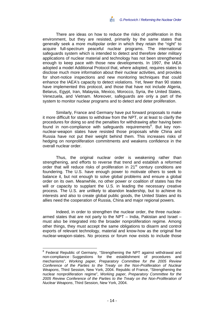There are ideas on how to reduce the risks of proliferation in this environment, but they are resisted, primarily by the same states that generally seek a more multipolar order in which they retain the "right" to acquire full-spectrum peaceful nuclear programs. The international safeguards system which is intended to detect and therefore deter military applications of nuclear material and technology has not been strengthened enough to keep pace with those new developments. In 1997, the IAEA adopted a model Additional Protocol that, where adopted, requires states to disclose much more information about their nuclear activities, and provides for short-notice inspections and new monitoring techniques that could enhance the IAEA's capacity to detect violations. Yet, fewer than 90 states have implemented this protocol, and those that have not include Algeria, Belarus, Egypt, Iran, Malaysia, Mexico, Morocco, Syria, the United States, Venezuela, and Vietnam. Moreover, safeguards are only a part of the system to monitor nuclear programs and to detect and deter proliferation.

Similarly, France and Germany have put forward proposals to make it more difficult for states to withdraw from the NPT, or at least to clarify the procedures for doing so and the penalties for withdrawing after having been found in non-compliance with safeguards requirements<sup>8</sup>. But key nonnuclear-weapon states have resisted those proposals while China and Russia have not put their weight behind them. This increases risks of hedging on nonproliferation commitments and weakens confidence in the overall nuclear order.

Thus. the original nuclear order is weakening rather than strengthening, and efforts to reverse that trend and establish a reformed order that will reduce risks of proliferation in 21<sup>st</sup> century conditions are foundering. The U.S. have enough power to motivate others to seek to balance it, but not enough to solve global problems and ensure a global order on its own. Meanwhile, no other power or coalition of states has the will or capacity to supplant the U.S. in leading the necessary creative process. The U.S. are unlikely to abandon leadership, but to achieve its interests and also to create global public goods, the United States and its allies need the cooperation of Russia, China and major regional powers.

Indeed, in order to strengthen the nuclear order, the three nucleararmed states that are not party to the NPT – India, Pakistan and Israel – must also be integrated into the broader nonproliferation regime. Among other things, they must accept the same obligations to disarm and control exports of relevant technology, material and know-how as the original five nuclear-weapon-states. No process or forum now exists to include those

<sup>&</sup>lt;sup>8</sup> Federal Republic of Germany, "Strengthening the NPT against withdrawal and non-compliance : Suggestions for the establishment of procedures and mechanisms", *Working paper, Preparatory Committee for the 2005 Review Conference of the Parties to the Treaty on the Non-Proliferation of Nuclear Weapons*, Third Session, New York, 2004. Republic of France, "Strengthening the nuclear nonproliferation regime", *Working paper, Preparatory Committee for the 2005 Review Conference of the Parties to the Treaty on the Non-Proliferation of Nuclear Weapons*, Third Session, New York, 2004.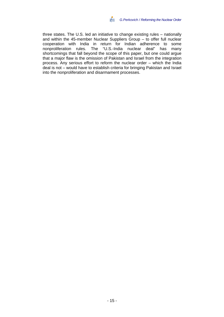three states. The U.S. led an initiative to change existing rules – nationally and within the 45-member Nuclear Suppliers Group – to offer full nuclear cooperation with India in return for Indian adherence to some nonproliferation rules. The "U.S.-India nuclear deal" has many shortcomings that fall beyond the scope of this paper, but one could argue that a major flaw is the omission of Pakistan and Israel from the integration process. Any serious effort to reform the nuclear order – which the India deal is not – would have to establish criteria for bringing Pakistan and Israel into the nonproliferation and disarmament processes.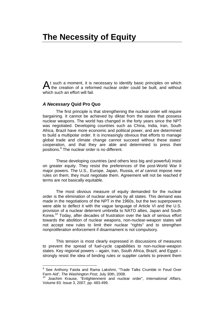### **The Necessity of Equity**

At such a moment, it is necessary to identify basic principles on which the creation of a reformed nuclear order could be built, and without the creation of a reformed nuclear order could be built, and without which such an effort will fail.

#### *A Necessary* **Quid Pro Quo**

 $\overline{a}$ 

The first principle is that strengthening the nuclear order will require bargaining. It cannot be achieved by diktat from the states that possess nuclear weapons. The world has changed in the forty years since the NPT was negotiated. Developing countries such as China, India, Iran, South Africa, Brazil have more economic and political power, and are determined to build a multipolar order. It is increasingly obvious that efforts to manage global trade and climate change cannot succeed without these states' cooperation, and that they are able and determined to press their positions.<sup>9</sup> The nuclear order is no different.

These developing countries (and others less big and powerful) insist on greater equity. They resist the preferences of the post-World War II major powers. The U.S., Europe, Japan, Russia, *et al* cannot impose new rules on them; they must negotiate them. Agreement will not be reached if terms are not basically equitable.

The most obvious measure of equity demanded for the nuclear order is the elimination of nuclear arsenals by all states. This demand was made in the negotiations of the NPT in the 1960s, but the two superpowers were able to deflect it with the vague language of Article VI and the U.S. provision of a nuclear deterrent umbrella to NATO allies, Japan and South Korea.<sup>10</sup> Today, after decades of frustration over the lack of serious effort towards the abolition of nuclear weapons, non-nuclear-weapon states will not accept new rules to limit their nuclear "rights" and to strengthen nonproliferation enforcement if disarmament is not compulsory.

This tension is most clearly expressed in discussions of measures to prevent the spread of fuel-cycle capabilities to non-nuclear-weapon states. Key regional powers – again, Iran, South Africa, Brazil, and Egypt – strongly resist the idea of binding rules or supplier cartels to prevent them

<sup>&</sup>lt;sup>9</sup> See Anthony Faiola and Rama Lakshmi, "Trade Talks Crumble in Feud Over Farm Aid", *The Washington Post*, July 30th, 2008.<br><sup>10</sup> Joachim Krause, "Enlightenment and nuclear order", *International Affairs,* 

Volume 83: Issue 3, 2007, pp. 483-499.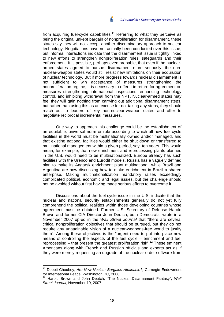from acquiring fuel-cycle capabilities.<sup>11</sup> Referring to what they perceive as being the original unkept bargain of nonproliferation for disarmament, these states say they will not accept another discriminatory approach to nuclear technology. Negotiations have not actually been conducted over this issue, but informal interactions indicate that the disarmament issue is tightly linked to new efforts to strengthen nonproliferation rules, safeguards and their enforcement. It is possible, perhaps even probable, that even if the nucleararmed states agreed to pursue disarmament more seriously, the nonnuclear-weapon states would still resist new limitations on their acquisition of nuclear technology. But if more progress towards nuclear disarmament is not sufficient to win acceptance of measures strengthening the nonproliferation regime, it is necessary to offer it in return for agreement on measures strengthening international inspections, enhancing technology control, and inhibiting withdrawal from the NPT. Nuclear-armed states may feel they will gain nothing from carrying out additional disarmament steps, but rather than using this as an excuse for not taking any steps, they should reach out to leaders of key non-nuclear-weapon states and offer to negotiate reciprocal incremental measures.

One way to approach this challenge could be the establishment of an equitable, universal norm or rule according to which all new fuel-cycle facilities in the world must be multinationally owned and/or managed, and that existing national facilities would either be shut down or transferred to multinational management within a given period, say, ten years. This would mean, for example, that new enrichment and reprocessing plants planned in the U.S. would need to be multinationalized. Europe already has such facilities with the Urenco and Eurodif models. Russia has a vaguely defined plan to make its Angarsk enrichment plant multinational, while Brazil and Argentina are now discussing how to make enrichment in Brazil a shared enterprise. Making multinationalization mandatory raises exceedingly complicated political, economic and legal issues, but the challenge should not be avoided without first having made serious efforts to overcome it.

Discussions about the fuel-cycle issue in the U.S. indicate that the nuclear and national security establishments generally do not yet fully comprehend the political realities within those developing countries whose agreement must be obtained. Former U.S. Secretary of Defense Harold Brown and former CIA Director John Deutch, both Democrats, wrote in a November 2007 op-ed in the *Wall Street Journal* that "there are several critical nonproliferation objectives that should be pursued, but they do not require any unattainable vision of a nuclear-weapons-free world to justify them". Among these objectives is the "urgent need to put into place new means of controlling the aspects of the fuel cycle – enrichment and fuel reprocessing  $-$  that present the greatest proliferation risk".<sup>12</sup> These eminent Americans along with French and Russian officials and experts act as if they were merely requesting an upgrade of the nuclear order software from

<sup>11</sup> Deepti Choubey, *Are New Nuclear Bargains Attainable?,* Carnegie Endowment for International Peace, Washington DC, 2008.

<sup>&</sup>lt;sup>12</sup> Harold Brown and John Deutch, "The Nuclear Disarmament Fantasy", *Wall Street Journal*, November 19, 2007.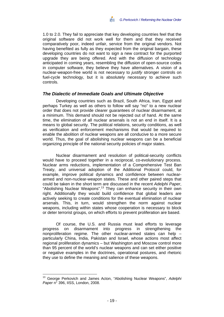1.0 to 2.0. They fail to appreciate that key developing countries feel that the original software did not work well for them and that they received comparatively poor, indeed unfair, service from the original vendors. Not having benefited as fully as they expected from the original bargain, these developing countries do not want to sign a new contract for the purported upgrade they are being offered. And with the diffusion of technology anticipated in coming years, resembling the diffusion of open-source codes in computer software, they believe they have alternatives. A vision of a nuclear-weapon-free world is not necessary to *justify* stronger controls on fuel-cycle technology, but it is absolutely necessary to *achieve* such controls.

#### *The Dialectic of Immediate Goals and Ultimate Objective*

Developing countries such as Brazil, South Africa, Iran, Egypt and perhaps Turkey as well as others to follow will say "no" to a new nuclear order that does not provide clearer guarantees of nuclear disarmament, at a minimum. This demand should not be rejected out of hand. At the same time, the elimination of all nuclear arsenals is not an end in itself. It is a means to global security. The political relations, security conditions, as well as verification and enforcement mechanisms that would be required to enable the abolition of nuclear weapons are all conducive to a more secure world. Thus, the goal of abolishing nuclear weapons can be a beneficial organizing principle of the national security policies of major states.

Nuclear disarmament and resolution of political-security conflicts would have to proceed together in a reciprocal, co-evolutionary process. Nuclear arms reductions, implementation of a Comprehensive Test Ban Treaty, and universal adoption of the Additional Protocol could, for example, improve political dynamics and confidence between nucleararmed and non-nuclear-weapon states. These and other paired steps that could be taken in the short term are discussed in the recent *Adelphi Paper*, "Abolishing Nuclear Weapons".<sup>13</sup> They can enhance security in their own right. Additionally they would build confidence that global leaders are actively seeking to create conditions for the eventual elimination of nuclear arsenals. This, in turn, would strengthen the norm against nuclear weapons, including within states whose cooperation is necessary to block or deter terrorist groups, on which efforts to prevent proliferation are based.

Of course, the U.S. and Russia must lead efforts to leverage progress on disarmament into progress in strengthening the nonproliferation regime. The other nuclear-armed states can help – particularly China, India, Pakistan and Israel, whose actions most affect regional proliferation dynamics – but Washington and Moscow control more than 95 percent of the world's nuclear weapons and can set either positive or negative examples in the doctrines, operational postures, and rhetoric they use to define the meaning and salience of these weapons.

<sup>13</sup> George Perkovich and James Acton, "Abolishing Nuclear Weapons", *Adelphi Paper* n° 396, IISS, London, 2008.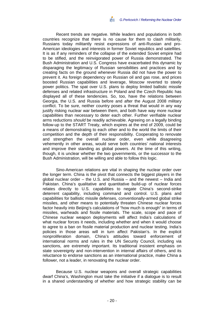Recent trends are negative. While leaders and populations in both countries recognize that there is no cause for them to clash militarily, Russians today militantly resist expressions of anti-Russian and pro-American ideologies and interests in former Soviet republics and satellites. It is as if any reminders of the collapse of the extended Soviet empire had to be stifled, and the reinvigorated power of Russia demonstrated. The Bush Administration and U.S. Congress have exacerbated this dynamic by disparaging the legitimacy of Russian sensibilities and practices and by creating facts on the ground whenever Russia did not have the power to prevent it. As foreign dependency on Russian oil and gas rose, and prices boosted Russian capabilities and leverage, Moscow reverted to steely power politics. The spat over U.S. plans to deploy limited ballistic missile defenses and related infrastructure in Poland and the Czech Republic has displayed all of these tendencies. So, too, have the relations between Georgia, the U.S. and Russia before and after the August 2008 military conflict. To be sure, neither country poses a threat that would in any way justify risking nuclear war between them, and both have way more nuclear capabilities than necessary to deter each other. Further verifiable nuclear arms reductions *should* be readily achievable. Agreeing on a legally binding follow-up to the START Treaty, which expires at the end of 2009, could be a means of demonstrating to each other and to the world the limits of their competition and the depth of their responsibility. Cooperating to renovate and strengthen the overall nuclear order, even while disagreeing vehemently in other areas, would serve both countries' national interests and improve their standing as global powers. At the time of this writing, though, it is unclear whether the two governments, or the successor to the Bush Administration, will be willing and able to follow this logic.

Sino-American relations are vital in shaping the nuclear order over the longer term. China is the pivot that connects the biggest players in the global nuclear order – the U.S. and Russia – and the newest – India and Pakistan. China's qualitative and quantitative build-up of nuclear forces relates directly to U.S. capabilities to negate China's second-strike deterrent capability, including command and control. U.S. plans and capabilities for ballistic missile defenses, conventionally-armed global strike missiles, and other means to potentially threaten Chinese nuclear forces factor heavily into Beijing's calculations of "how much is enough" in terms of missiles, warheads and fissile materials. The scale, scope and pace of Chinese nuclear weapon deployments will affect India's calculations of what nuclear forces it needs, including whether and when it would choose to agree to a ban on fissile material production and nuclear testing. India's policies in those areas will in turn affect Pakistan's. In the explicit nonproliferation domain, China's attitudes toward enforcement of international norms and rules in the UN Security Council, including via sanctions, are extremely important. Its traditional insistent emphasis on state sovereignty and non-intervention in internal affairs of others, and its reluctance to endorse sanctions as an international practice, make China a follower, not a leader, in renovating the nuclear order.

Because U.S. nuclear weapons and overall strategic capabilities dwarf China's, Washington must take the initiative if a dialogue is to result in a shared understanding of whether and how strategic stability can be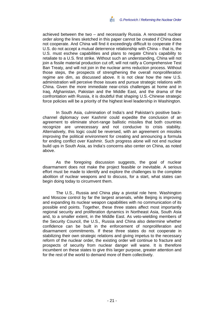achieved between the two – and necessarily Russia. A renovated nuclear order along the lines sketched in this paper cannot be created if China does not cooperate. And China will find it exceedingly difficult to cooperate if the U.S. do not accept a mutual deterrence relationship with China – that is, the U.S. must eschew capabilities and plans to negate China's capability to retaliate to a U.S. first strike. Without such an understanding, China will not join a fissile material production cut off, will not ratify a Comprehensive Test Ban Treaty, and will not join in the nuclear arms reduction process. Without those steps, the prospects of strengthening the overall nonproliferation regime are dim, as discussed above. It is not clear how the new U.S. administration will perceive those issues and pursue strategic relations with China. Given the more immediate near-crisis challenges at home and in Iraq, Afghanistan, Pakistan and the Middle East, and the drama of the confrontation with Russia, it is doubtful that shaping U.S.-Chinese strategic force policies will be a priority of the highest level leadership in Washington.

In South Asia, culmination of India's and Pakistan's positive backchannel diplomacy over Kashmir could expedite the conclusion of an agreement to eliminate short-range ballistic missiles that both countries recognize are unnecessary and not conducive to crisis stability. Alternatively, this logic could be reversed, with an agreement on missiles improving the political environment for creating and announcing a formula for ending conflict over Kashmir. Such progress alone will not end nuclear build ups in South Asia, as India's concerns also center on China, as noted above.

As the foregoing discussion suggests, the goal of nuclear disarmament does not make the project feasible or inevitable. A serious effort must be made to identify and explore the challenges to the complete abolition of nuclear weapons and to discuss, for a start, what states can begin doing today to circumvent them.

The U.S., Russia and China play a pivotal role here. Washington and Moscow control by far the largest arsenals, while Beijing is improving and expanding its nuclear weapon capabilities with no communication of its possible end points. Together, these three states affect most importantly regional security and proliferation dynamics in Northeast Asia, South Asia and, to a smaller extent, in the Middle East. As veto-wielding members of the Security Council, the U.S., Russia and China also determine whether confidence can be built in the enforcement of nonproliferation and disarmament commitments. If these three states do not cooperate in stabilizing their own strategic relations and giving impetus to the necessary reform of the nuclear order, the existing order will continue to fracture and prospects of security from nuclear danger will wane. It is therefore incumbent on these states to give this larger purpose, greater attention and for the rest of the world to demand more of them collectively.